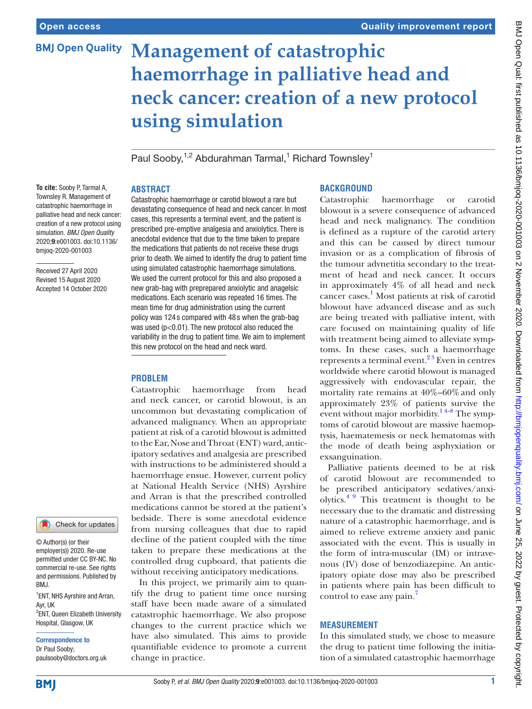## **BMJ Open Quality**

# **Management of catastrophic haemorrhage in palliative head and neck cancer: creation of a new protocol using simulation**

Paul Sooby,<sup>1,2</sup> Abdurahman Tarmal,<sup>1</sup> Richard Townsley<sup>1</sup>

## **ABSTRACT**

**To cite:** Sooby P, Tarmal A, Townsley R. Management of catastrophic haemorrhage in palliative head and neck cancer: creation of a new protocol using simulation. *BMJ Open Quality* 2020;9:e001003. doi:10.1136/ bmjoq-2020-001003

Received 27 April 2020 Revised 15 August 2020 Accepted 14 October 2020



© Author(s) (or their employer(s)) 2020. Re-use permitted under CC BY-NC. No commercial re-use. See rights and permissions. Published by RM.I

<sup>1</sup> ENT, NHS Ayrshire and Arran, Ayr, UK <sup>2</sup>ENT, Queen Elizabeth University Hospital, Glasgow, UK

Correspondence to Dr Paul Sooby; paulsooby@doctors.org.uk Catastrophic haemorrhage or carotid blowout a rare but devastating consequence of head and neck cancer. In most cases, this represents a terminal event, and the patient is prescribed pre-emptive analgesia and anxiolytics. There is anecdotal evidence that due to the time taken to prepare the medications that patients do not receive these drugs prior to death. We aimed to identify the drug to patient time using simulated catastrophic haemorrhage simulations. We used the current protocol for this and also proposed a new grab-bag with preprepared anxiolytic and anagelsic medications. Each scenario was repeated 16 times. The mean time for drug administration using the current policy was 124 s compared with 48 s when the grab-bag was used (p<0.01). The new protocol also reduced the variability in the drug to patient time. We aim to implement this new protocol on the head and neck ward.

## **PROBLEM**

Catastrophic haemorrhage from head and neck cancer, or carotid blowout, is an uncommon but devastating complication of advanced malignancy. When an appropriate patient at risk of a carotid blowout is admitted to the Ear, Nose and Throat (ENT) ward, anticipatory sedatives and analgesia are prescribed with instructions to be administered should a haemorrhage ensue. However, current policy at National Health Service (NHS) Ayrshire and Arran is that the prescribed controlled medications cannot be stored at the patient's bedside. There is some anecdotal evidence from nursing colleagues that due to rapid decline of the patient coupled with the time taken to prepare these medications at the controlled drug cupboard, that patients die without receiving anticipatory medications.

In this project, we primarily aim to quantify the drug to patient time once nursing staff have been made aware of a simulated catastrophic haemorrhage. We also propose changes to the current practice which we have also simulated. This aims to provide quantifiable evidence to promote a current change in practice.

## **BACKGROUND**

Catastrophic haemorrhage or carotid blowout is a severe consequence of advanced head and neck malignancy. The condition is defined as a rupture of the carotid artery and this can be caused by direct tumour invasion or as a complication of fibrosis of the tumour advnetitia secondary to the treatment of head and neck cancer. It occurs in approximately 4% of all head and neck cancer cases. [1](#page-3-0) Most patients at risk of carotid blowout have advanced disease and as such are being treated with palliative intent, with care focused on maintaining quality of life with treatment being aimed to alleviate symptoms. In these cases, such a haemorrhage represents a terminal event. $2<sup>3</sup>$  Even in centres worldwide where carotid blowout is managed aggressively with endovascular repair, the mortality rate remains at 40%–60%and only approximately 23% of patients survive the event without major morbidity. $14-8$  The symptoms of carotid blowout are massive haemoptysis, haematemesis or neck hematomas with the mode of death being asphyxiation or exsanguination.

Palliative patients deemed to be at risk of carotid blowout are recommended to be prescribed anticipatory sedatives/anxiolytics.[4 9](#page-3-2) This treatment is thought to be necessary due to the dramatic and distressing nature of a catastrophic haemorrhage, and is aimed to relieve extreme anxiety and panic associated with the event. This is usually in the form of intra-muscular (IM) or intravenous (IV) dose of benzodiazepine. An anticipatory opiate dose may also be prescribed in patients where pain has been difficult to control to ease any pain.

## **MEASUREMENT**

In this simulated study, we chose to measure the drug to patient time following the initiation of a simulated catastrophic haemorrhage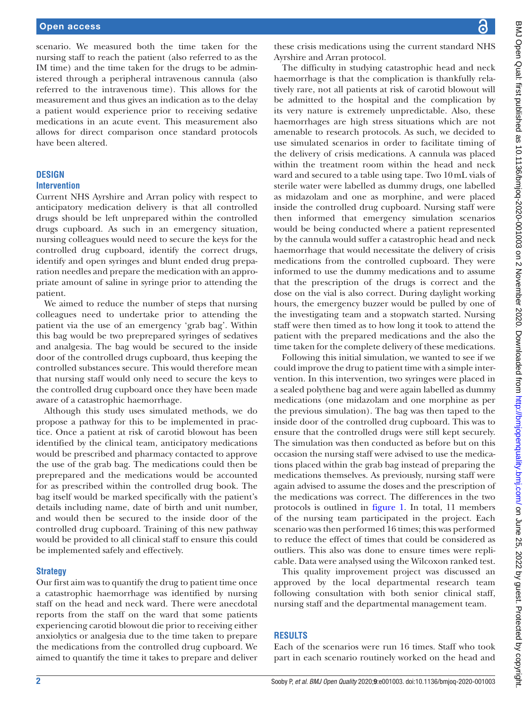scenario. We measured both the time taken for the nursing staff to reach the patient (also referred to as the IM time) and the time taken for the drugs to be administered through a peripheral intravenous cannula (also referred to the intravenous time). This allows for the measurement and thus gives an indication as to the delay a patient would experience prior to receiving sedative medications in an acute event. This measurement also allows for direct comparison once standard protocols have been altered.

## **DESIGN**

#### **Intervention**

Current NHS Ayrshire and Arran policy with respect to anticipatory medication delivery is that all controlled drugs should be left unprepared within the controlled drugs cupboard. As such in an emergency situation, nursing colleagues would need to secure the keys for the controlled drug cupboard, identify the correct drugs, identify and open syringes and blunt ended drug preparation needles and prepare the medication with an appropriate amount of saline in syringe prior to attending the patient.

We aimed to reduce the number of steps that nursing colleagues need to undertake prior to attending the patient via the use of an emergency 'grab bag'. Within this bag would be two preprepared syringes of sedatives and analgesia. The bag would be secured to the inside door of the controlled drugs cupboard, thus keeping the controlled substances secure. This would therefore mean that nursing staff would only need to secure the keys to the controlled drug cupboard once they have been made aware of a catastrophic haemorrhage.

Although this study uses simulated methods, we do propose a pathway for this to be implemented in practice. Once a patient at risk of carotid blowout has been identified by the clinical team, anticipatory medications would be prescribed and pharmacy contacted to approve the use of the grab bag. The medications could then be preprepared and the medications would be accounted for as prescribed within the controlled drug book. The bag itself would be marked specifically with the patient's details including name, date of birth and unit number, and would then be secured to the inside door of the controlled drug cupboard. Training of this new pathway would be provided to all clinical staff to ensure this could be implemented safely and effectively.

## **Strategy**

Our first aim was to quantify the drug to patient time once a catastrophic haemorrhage was identified by nursing staff on the head and neck ward. There were anecdotal reports from the staff on the ward that some patients experiencing carotid blowout die prior to receiving either anxiolytics or analgesia due to the time taken to prepare the medications from the controlled drug cupboard. We aimed to quantify the time it takes to prepare and deliver

these crisis medications using the current standard NHS Ayrshire and Arran protocol.

The difficulty in studying catastrophic head and neck haemorrhage is that the complication is thankfully relatively rare, not all patients at risk of carotid blowout will be admitted to the hospital and the complication by its very nature is extremely unpredictable. Also, these haemorrhages are high stress situations which are not amenable to research protocols. As such, we decided to use simulated scenarios in order to facilitate timing of the delivery of crisis medications. A cannula was placed within the treatment room within the head and neck ward and secured to a table using tape. Two 10mL vials of sterile water were labelled as dummy drugs, one labelled as midazolam and one as morphine, and were placed inside the controlled drug cupboard. Nursing staff were then informed that emergency simulation scenarios would be being conducted where a patient represented by the cannula would suffer a catastrophic head and neck haemorrhage that would necessitate the delivery of crisis medications from the controlled cupboard. They were informed to use the dummy medications and to assume that the prescription of the drugs is correct and the dose on the vial is also correct. During daylight working hours, the emergency buzzer would be pulled by one of the investigating team and a stopwatch started. Nursing staff were then timed as to how long it took to attend the patient with the prepared medications and the also the time taken for the complete delivery of these medications.

Following this initial simulation, we wanted to see if we could improve the drug to patient time with a simple intervention. In this intervention, two syringes were placed in a sealed polythene bag and were again labelled as dummy medications (one midazolam and one morphine as per the previous simulation). The bag was then taped to the inside door of the controlled drug cupboard. This was to ensure that the controlled drugs were still kept securely. The simulation was then conducted as before but on this occasion the nursing staff were advised to use the medications placed within the grab bag instead of preparing the medications themselves. As previously, nursing staff were again advised to assume the doses and the prescription of the medications was correct. The differences in the two protocols is outlined in [figure](#page-2-0) 1. In total, 11 members of the nursing team participated in the project. Each scenario was then performed 16 times; this was performed to reduce the effect of times that could be considered as outliers. This also was done to ensure times were replicable. Data were analysed using the Wilcoxon ranked test.

This quality improvement project was discussed an approved by the local departmental research team following consultation with both senior clinical staff, nursing staff and the departmental management team.

## **RESULTS**

Each of the scenarios were run 16 times. Staff who took part in each scenario routinely worked on the head and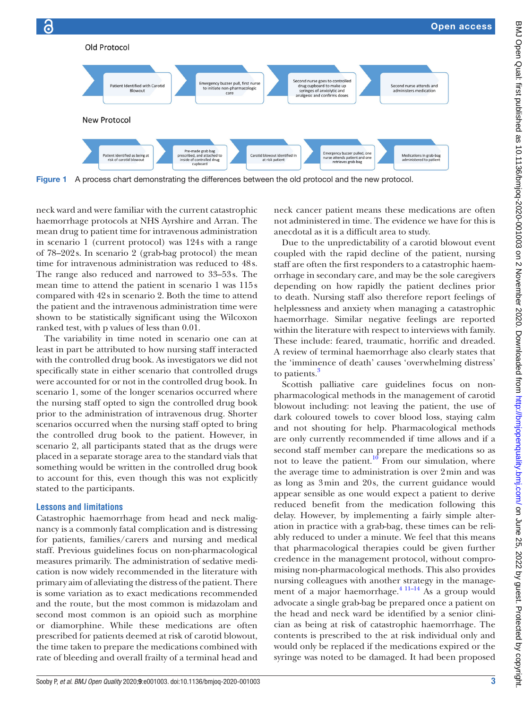

<span id="page-2-0"></span>Figure 1 A process chart demonstrating the differences between the old protocol and the new protocol.

neck ward and were familiar with the current catastrophic haemorrhage protocols at NHS Ayrshire and Arran. The mean drug to patient time for intravenous administration in scenario 1 (current protocol) was 124s with a range of 78–202s. In scenario 2 (grab-bag protocol) the mean time for intravenous administration was reduced to 48s. The range also reduced and narrowed to 33–53s. The mean time to attend the patient in scenario 1 was 115s compared with 42s in scenario 2. Both the time to attend the patient and the intravenous administration time were shown to be statistically significant using the Wilcoxon ranked test, with p values of less than 0.01.

The variability in time noted in scenario one can at least in part be attributed to how nursing staff interacted with the controlled drug book. As investigators we did not specifically state in either scenario that controlled drugs were accounted for or not in the controlled drug book. In scenario 1, some of the longer scenarios occurred where the nursing staff opted to sign the controlled drug book prior to the administration of intravenous drug. Shorter scenarios occurred when the nursing staff opted to bring the controlled drug book to the patient. However, in scenario 2, all participants stated that as the drugs were placed in a separate storage area to the standard vials that something would be written in the controlled drug book to account for this, even though this was not explicitly stated to the participants.

#### **Lessons and limitations**

Catastrophic haemorrhage from head and neck malignancy is a commonly fatal complication and is distressing for patients, families/carers and nursing and medical staff. Previous guidelines focus on non-pharmacological measures primarily. The administration of sedative medication is now widely recommended in the literature with primary aim of alleviating the distress of the patient. There is some variation as to exact medications recommended and the route, but the most common is midazolam and second most common is an opioid such as morphine or diamorphine. While these medications are often prescribed for patients deemed at risk of carotid blowout, the time taken to prepare the medications combined with rate of bleeding and overall frailty of a terminal head and neck cancer patient means these medications are often not administered in time. The evidence we have for this is anecdotal as it is a difficult area to study.

Due to the unpredictability of a carotid blowout event coupled with the rapid decline of the patient, nursing staff are often the first responders to a catastrophic haemorrhage in secondary care, and may be the sole caregivers depending on how rapidly the patient declines prior to death. Nursing staff also therefore report feelings of helplessness and anxiety when managing a catastrophic haemorrhage. Similar negative feelings are reported within the literature with respect to interviews with family. These include: feared, traumatic, horrific and dreaded. A review of terminal haemorrhage also clearly states that the 'imminence of death' causes 'overwhelming distress' to patients.<sup>3</sup>

Scottish palliative care guidelines focus on nonpharmacological methods in the management of carotid blowout including: not leaving the patient, the use of dark coloured towels to cover blood loss, staying calm and not shouting for help. Pharmacological methods are only currently recommended if time allows and if a second staff member can prepare the medications so as not to leave the patient. $10$  From our simulation, where the average time to administration is over 2min and was as long as 3min and 20s, the current guidance would appear sensible as one would expect a patient to derive reduced benefit from the medication following this delay. However, by implementing a fairly simple alteration in practice with a grab-bag, these times can be reliably reduced to under a minute. We feel that this means that pharmacological therapies could be given further credence in the management protocol, without compromising non-pharmacological methods. This also provides nursing colleagues with another strategy in the management of a major haemorrhage. $4 \frac{11-14}{11-4}$  As a group would advocate a single grab-bag be prepared once a patient on the head and neck ward be identified by a senior clinician as being at risk of catastrophic haemorrhage. The contents is prescribed to the at risk individual only and would only be replaced if the medications expired or the syringe was noted to be damaged. It had been proposed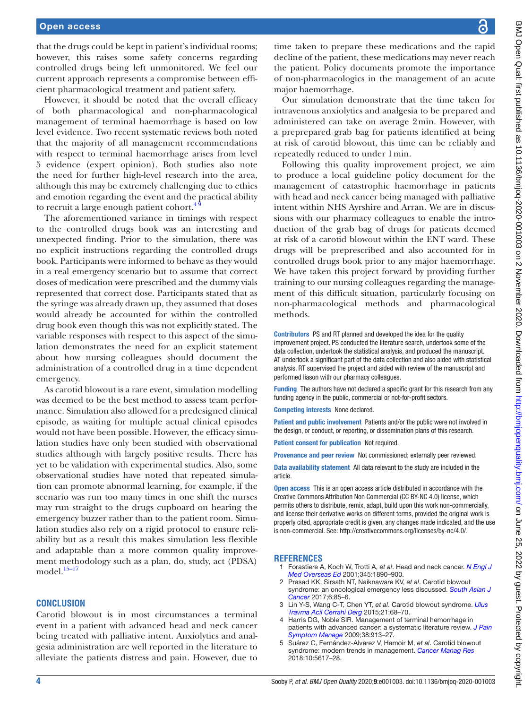that the drugs could be kept in patient's individual rooms; however, this raises some safety concerns regarding controlled drugs being left unmonitored. We feel our current approach represents a compromise between efficient pharmacological treatment and patient safety.

However, it should be noted that the overall efficacy of both pharmacological and non-pharmacological management of terminal haemorrhage is based on low level evidence. Two recent systematic reviews both noted that the majority of all management recommendations with respect to terminal haemorrhage arises from level 5 evidence (expert opinion). Both studies also note the need for further high-level research into the area, although this may be extremely challenging due to ethics and emotion regarding the event and the practical ability to recruit a large enough patient cohort.<sup>4</sup>

The aforementioned variance in timings with respect to the controlled drugs book was an interesting and unexpected finding. Prior to the simulation, there was no explicit instructions regarding the controlled drugs book. Participants were informed to behave as they would in a real emergency scenario but to assume that correct doses of medication were prescribed and the dummy vials represented that correct dose. Participants stated that as the syringe was already drawn up, they assumed that doses would already be accounted for within the controlled drug book even though this was not explicitly stated. The variable responses with respect to this aspect of the simulation demonstrates the need for an explicit statement about how nursing colleagues should document the administration of a controlled drug in a time dependent emergency.

As carotid blowout is a rare event, simulation modelling was deemed to be the best method to assess team performance. Simulation also allowed for a predesigned clinical episode, as waiting for multiple actual clinical episodes would not have been possible. However, the efficacy simulation studies have only been studied with observational studies although with largely positive results. There has yet to be validation with experimental studies. Also, some observational studies have noted that repeated simulation can promote abnormal learning, for example, if the scenario was run too many times in one shift the nurses may run straight to the drugs cupboard on hearing the emergency buzzer rather than to the patient room. Simulation studies also rely on a rigid protocol to ensure reliability but as a result this makes simulation less flexible and adaptable than a more common quality improvement methodology such as a plan, do, study, act (PDSA) model.<sup>[15–17](#page-4-2)</sup>

#### **CONCLUSION**

Carotid blowout is in most circumstances a terminal event in a patient with advanced head and neck cancer being treated with palliative intent. Anxiolytics and analgesia administration are well reported in the literature to alleviate the patients distress and pain. However, due to

time taken to prepare these medications and the rapid decline of the patient, these medications may never reach the patient. Policy documents promote the importance of non-pharmacologics in the management of an acute major haemorrhage.

Our simulation demonstrate that the time taken for intravenous anxiolytics and analgesia to be prepared and administered can take on average 2min. However, with a preprepared grab bag for patients identified at being at risk of carotid blowout, this time can be reliably and repeatedly reduced to under 1min.

Following this quality improvement project, we aim to produce a local guideline policy document for the management of catastrophic haemorrhage in patients with head and neck cancer being managed with palliative intent within NHS Ayrshire and Arran. We are in discussions with our pharmacy colleagues to enable the introduction of the grab bag of drugs for patients deemed at risk of a carotid blowout within the ENT ward. These drugs will be preprescribed and also accounted for in controlled drugs book prior to any major haemorrhage. We have taken this project forward by providing further training to our nursing colleagues regarding the management of this difficult situation, particularly focusing on non-pharmacological methods and pharmacological methods.

Contributors PS and RT planned and developed the idea for the quality improvement project. PS conducted the literature search, undertook some of the data collection, undertook the statistical analysis, and produced the manuscript. AT undertook a significant part of the data collection and also aided with statistical analysis. RT supervised the project and aided with review of the manuscript and performed liason with our pharmacy colleagues.

Funding The authors have not declared a specific grant for this research from any funding agency in the public, commercial or not-for-profit sectors.

Competing interests None declared.

Patient and public involvement Patients and/or the public were not involved in the design, or conduct, or reporting, or dissemination plans of this research.

Patient consent for publication Not required.

Provenance and peer review Not commissioned; externally peer reviewed.

Data availability statement All data relevant to the study are included in the article.

Open access This is an open access article distributed in accordance with the Creative Commons Attribution Non Commercial (CC BY-NC 4.0) license, which permits others to distribute, remix, adapt, build upon this work non-commercially, and license their derivative works on different terms, provided the original work is properly cited, appropriate credit is given, any changes made indicated, and the use is non-commercial. See: [http://creativecommons.org/licenses/by-nc/4.0/.](http://creativecommons.org/licenses/by-nc/4.0/)

#### **REFERENCES**

- <span id="page-3-0"></span>1 Forastiere A, Koch W, Trotti A, *et al*. Head and neck cancer. *[N Engl J](http://dx.doi.org/10.1056/NEJMra001375)  [Med Overseas Ed](http://dx.doi.org/10.1056/NEJMra001375)* 2001;345:1890–900.
- <span id="page-3-1"></span>2 Prasad KK, Sirsath NT, Naiknaware KV, *et al*. Carotid blowout syndrome: an oncological emergency less discussed. *[South Asian J](http://dx.doi.org/10.4103/sajc.sajc_211_16)  [Cancer](http://dx.doi.org/10.4103/sajc.sajc_211_16)* 2017;6:85–6.
- <span id="page-3-3"></span>3 Lin Y-S, Wang C-T, Chen YT, *et al*. Carotid blowout syndrome. *[Ulus](http://dx.doi.org/10.5505/tjtes.2015.76992)  [Travma Acil Cerrahi Derg](http://dx.doi.org/10.5505/tjtes.2015.76992)* 2015;21:68–70.
- <span id="page-3-2"></span>4 Harris DG, Noble SIR. Management of terminal hemorrhage in patients with advanced cancer: a systematic literature review. *[J Pain](http://dx.doi.org/10.1016/j.jpainsymman.2009.04.027)  [Symptom Manage](http://dx.doi.org/10.1016/j.jpainsymman.2009.04.027)* 2009;38:913–27.
- 5 Suárez C, Fernández-Alvarez V, Hamoir M, *et al*. Carotid blowout syndrome: modern trends in management. *[Cancer Manag Res](http://dx.doi.org/10.2147/CMAR.S180164)* 2018;10:5617–28.